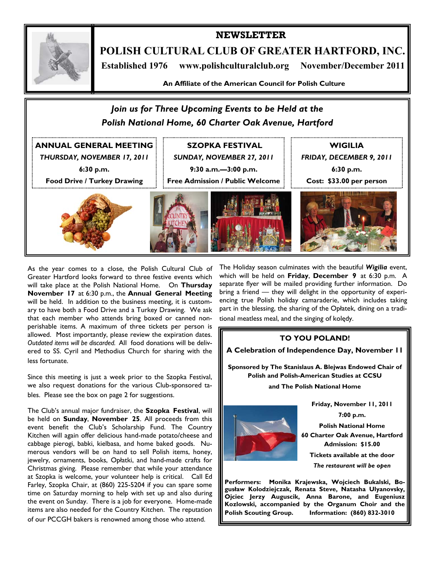

**POLISH CULTURAL CLUB OF GREATER HARTFORD, INC.** 

**NEWSLETTER** 

 **Established 1976 www.polishculturalclub.org November/December 2011** 

**An Affiliate of the American Council for Polish Culture** 



As the year comes to a close, the Polish Cultural Club of Greater Hartford looks forward to three festive events which will take place at the Polish National Home. On **Thursday November 17** at 6:30 p.m., the **Annual General Meeting**  will be held. In addition to the business meeting, it is customary to have both a Food Drive and a Turkey Drawing. We ask that each member who attends bring boxed or canned nonperishable items. A maximum of three tickets per person is allowed. Most importantly, please review the expiration dates. *Outdated items will be discarded.* All food donations will be delivered to SS. Cyril and Methodius Church for sharing with the less fortunate.

Since this meeting is just a week prior to the Szopka Festival, we also request donations for the various Club-sponsored tables. Please see the box on page 2 for suggestions.

The Club's annual major fundraiser, the **Szopka Festival**, will be held on **Sunday**, **November 25**. All proceeds from this event benefit the Club's Scholarship Fund. The Country Kitchen will again offer delicious hand-made potato/cheese and cabbage pierogi, babki, kielbasa, and home baked goods. Numerous vendors will be on hand to sell Polish items, honey, jewelry, ornaments, books, Opłatki, and hand-made crafts for Christmas giving. Please remember that while your attendance at Szopka is welcome, your volunteer help is critical. Call Ed Farley, Szopka Chair, at (860) 225-5204 if you can spare some time on Saturday morning to help with set up and also during the event on Sunday. There is a job for everyone. Home-made items are also needed for the Country Kitchen. The reputation of our PCCGH bakers is renowned among those who attend.

The Holiday season culminates with the beautiful *Wigilia* event, which will be held on **Friday**, **December 9** at 6:30 p.m. A separate flyer will be mailed providing further information. Do bring a friend — they will delight in the opportunity of experiencing true Polish holiday camaraderie, which includes taking part in the blessing, the sharing of the Opłatek, dining on a traditional meatless meal, and the singing of kolędy.

### **TO YOU POLAND!**

**A Celebration of Independence Day, November 11** 

**Sponsored by The Stanislaus A. Blejwas Endowed Chair of Polish and Polish-American Studies at CCSU and The Polish National Home** 



**Friday, November 11, 2011 7:00 p.m.** 

**Polish National Home 60 Charter Oak Avenue, Hartford Admission: \$15.00 Tickets available at the door** 

*The restaurant will be open* 

**Performers: Monika Krajewska, Wojciech Bukalski, Bogusław Kolodziejczak, Renata Steve, Natasha Ulyanovsky, Ojciec Jerzy Auguscik, Anna Barone, and Eugeniusz Kozlowski, accompanied by the Organum Choir and the Polish Scouting Group. Information: (860) 832-3010**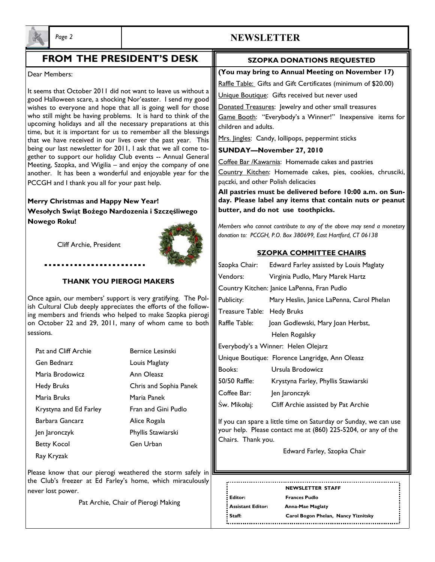

# *Page 2* **NEWSLETTER**

# **FROM THE PRESIDENT'S DESK**

#### Dear Members:

It seems that October 2011 did not want to leave us without a good Halloween scare, a shocking Nor'easter. I send my good wishes to everyone and hope that all is going well for those who still might be having problems. It is hard to think of the upcoming holidays and all the necessary preparations at this time, but it is important for us to remember all the blessings that we have received in our lives over the past year. This being our last newsletter for 2011, I ask that we all come together to support our holiday Club events -- Annual General Meeting, Szopka, and Wigilia – and enjoy the company of one another. It has been a wonderful and enjoyable year for the PCCGH and I thank you all for your past help.

**Merry Christmas and Happy New Year! Wesołych Swiąt Bożego Nardozenia i Szczęśliwego Nowego Roku!** 

Cliff Archie, President

#### **THANK YOU PIEROGI MAKERS**

Once again, our members' support is very gratifying. The Polish Cultural Club deeply appreciates the efforts of the following members and friends who helped to make Szopka pierogi on October 22 and 29, 2011, many of whom came to both sessions.

- Pat and Cliff Archie Bernice Lesinski Gen Bednarz Louis Maglaty Maria Brodowicz Ann Oleasz Hedy Bruks Chris and Sophia Panek Maria Bruks Maria Panek Krystyna and Ed Farley Fran and Gini Pudlo Barbara Gancarz **Alice Rogala**  Jen Jaronczyk Phyllis Stawiarski Betty Kocol Gen Urban Ray Kryzak
	-

Please know that our pierogi weathered the storm safely in the Club's freezer at Ed Farley's home, which miraculously never lost power.

Pat Archie, Chair of Pierogi Making

### **SZOPKA DONATIONS REQUESTED**

#### **(You may bring to Annual Meeting on November 17)**

Raffle Table: Gifts and Gift Certificates (minimum of \$20.00)

Unique Boutique: Gifts received but never used

Donated Treasures: Jewelry and other small treasures Game Booth: "Everybody's a Winner!" Inexpensive items for children and adults.

Mrs. Jingles: Candy, lollipops, peppermint sticks

#### **SUNDAY—November 27, 2010**

Coffee Bar /Kawarnia: Homemade cakes and pastries

Country Kitchen: Homemade cakes, pies, cookies, chrusciki, pączki, and other Polish delicacies

**All pastries must be delivered before 10:00 a.m. on Sunday. Please label any items that contain nuts or peanut butter, and do not use toothpicks.** 

*Members who cannot contribute to any of the above may send a monetary donation to: PCCGH, P.O. Box 380699, East Hartford, CT 06138* 

#### **SZOPKA COMMITTEE CHAIRS**

| Szopka Chair:                                   | Edward Farley assisted by Louis Maglaty   |  |
|-------------------------------------------------|-------------------------------------------|--|
| Vendors:                                        | Virginia Pudlo, Mary Marek Hartz          |  |
| Country Kitchen: Janice LaPenna, Fran Pudlo     |                                           |  |
| Publicity:                                      | Mary Heslin, Janice LaPenna, Carol Phelan |  |
| Treasure Table: Hedy Bruks                      |                                           |  |
| Raffle Table:                                   | Joan Godlewski, Mary Joan Herbst,         |  |
|                                                 | Helen Rogalsky                            |  |
| Everybody's a Winner: Helen Olejarz             |                                           |  |
| Unique Boutique: Florence Langridge, Ann Oleasz |                                           |  |
| Books:                                          | Ursula Brodowicz                          |  |
| 50/50 Raffle:                                   | Krystyna Farley, Phyllis Stawiarski       |  |
| Coffee Bar:                                     | Jen Jaronczyk                             |  |
| Sw. Mikołaj:                                    | Cliff Archie assisted by Pat Archie       |  |
|                                                 |                                           |  |

If you can spare a little time on Saturday or Sunday, we can use your help. Please contact me at (860) 225-5204, or any of the Chairs. Thank you.

Edward Farley, Szopka Chair

**Editor: Frances Pudlo Assistant Editor: Anna-Mae Maglaty**  

**NEWSLETTER STAFF** 

**Staff: Carol Bogon Phelan, Nancy Yiznitsky**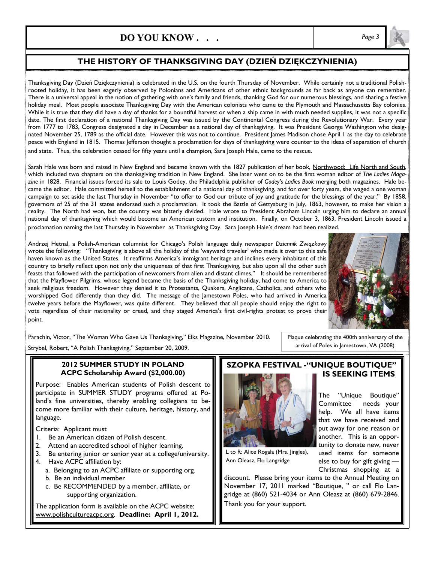# **DO YOU KNOW . . .** *Page 3*

## **THE HISTORY OF THANKSGIVING DAY (DZIEŃ DZIĘKCZYNIENIA)**

Thanksgiving Day (Dzień Dziękczynienia) is celebrated in the U.S. on the fourth Thursday of November. While certainly not a traditional Polishrooted holiday, it has been eagerly observed by Polonians and Americans of other ethnic backgrounds as far back as anyone can remember. There is a universal appeal in the notion of gathering with one's family and friends, thanking God for our numerous blessings, and sharing a festive holiday meal. Most people associate Thanksgiving Day with the American colonists who came to the Plymouth and Massachusetts Bay colonies. While it is true that they did have a day of thanks for a bountiful harvest or when a ship came in with much needed supplies, it was not a specific date. The first declaration of a national Thanksgiving Day was issued by the Continental Congress during the Revolutionary War. Every year from 1777 to 1783, Congress designated a day in December as a national day of thanksgiving. It was President George Washington who designated November 25, 1789 as the official date. However this was not to continue. President James Madison chose April I as the day to celebrate peace with England in 1815. Thomas Jefferson thought a proclamation for days of thanksgiving were counter to the ideas of separation of church and state. Thus, the celebration ceased for fifty years until a champion, Sara Joseph Hale, came to the rescue.

Sarah Hale was born and raised in New England and became known with the 1827 publication of her book, Northwood: Life North and South, which included two chapters on the thanksgiving tradition in New England. She later went on to be the first woman editor of *The Ladies Magazine* in 1828. Financial issues forced its sale to Louis Godey, the Philadelphia publisher of *Godey's Ladies Book* merging both magazines. Hale became the editor. Hale committed herself to the establishment of a national day of thanksgiving, and for over forty years, she waged a one woman campaign to set aside the last Thursday in November "to offer to God our tribute of joy and gratitude for the blessings of the year." By 1858, governors of 25 of the 31 states endorsed such a proclamation. It took the Battle of Gettysburg in July, 1863, however, to make her vision a reality. The North had won, but the country was bitterly divided. Hale wrote to President Abraham Lincoln urging him to declare an annual national day of thanksgiving which would become an American custom and institution. Finally, on October 3, 1863, President Lincoln issued a proclamation naming the last Thursday in November as Thanksgiving Day. Sara Joseph Hale's dream had been realized.

Andrzej Hetnal, a Polish-American columnist for Chicago's Polish language daily newspaper *Dziennik Związkowy*  wrote the following: "Thanksgiving is above all the holiday of the 'wayward traveler' who made it over to this safe haven known as the United States. It reaffirms America's immigrant heritage and inclines every inhabitant of this country to briefly reflect upon not only the uniqueness of that first Thanksgiving, but also upon all the other such feasts that followed with the participation of newcomers from alien and distant climes," It should be remembered that the Mayflower Pilgrims, whose legend became the basis of the Thanksgiving holiday, had come to America to seek religious freedom. However they denied it to Protestants, Quakers, Anglicans, Catholics, and others who worshipped God differently than they did. The message of the Jamestown Poles, who had arrived in America twelve years before the Mayflower, was quite different. They believed that all people should enjoy the right to vote regardless of their nationality or creed, and they staged America's first civil-rights protest to prove their point.



The "Unique Boutique" Committee needs your help. We all have items that we have received and put away for one reason or another. This is an opportunity to donate new, never used items for someone else to buy for gift giving —

Plaque celebrating the 400th anniversary of the arrival of Poles in Jamestown, VA (2008)

Parachin, Victor, "The Woman Who Gave Us Thanksgiving," Elks Magazine, November 2010.

Strybel, Robert, "A Polish Thanksgiving," September 20, 2009.

#### **2012 SUMMER STUDY IN POLAND ACPC Scholarship Award (\$2,000.00)**

Purpose: Enables American students of Polish descent to participate in SUMMER STUDY programs offered at Poland's fine universities, thereby enabling collegians to become more familiar with their culture, heritage, history, and language.

Criteria: Applicant must

- 1. Be an American citizen of Polish descent.
- 2. Attend an accredited school of higher learning.
- 3. Be entering junior or senior year at a college/university.
- 4. Have ACPC affiliation by:
	- a. Belonging to an ACPC affiliate or supporting org.
	- b. Be an individual member
	- c. Be RECOMMENDED by a member, affiliate, or supporting organization.

The application form is available on the ACPC website: www.polishcultureacpc.org. **Deadline: April 1, 2012.**

### **SZOPKA FESTIVAL -"UNIQUE BOUTIQUE" IS SEEKING ITEMS**



L to R: Alice Rogala (Mrs. Jingles), Ann Oleasz, Flo Langridge

Christmas shopping at a discount. Please bring your items to the Annual Meeting on November 17, 2011 marked "Boutique, " or call Flo Langridge at (860) 521-4034 or Ann Oleasz at (860) 679-2846. Thank you for your support.